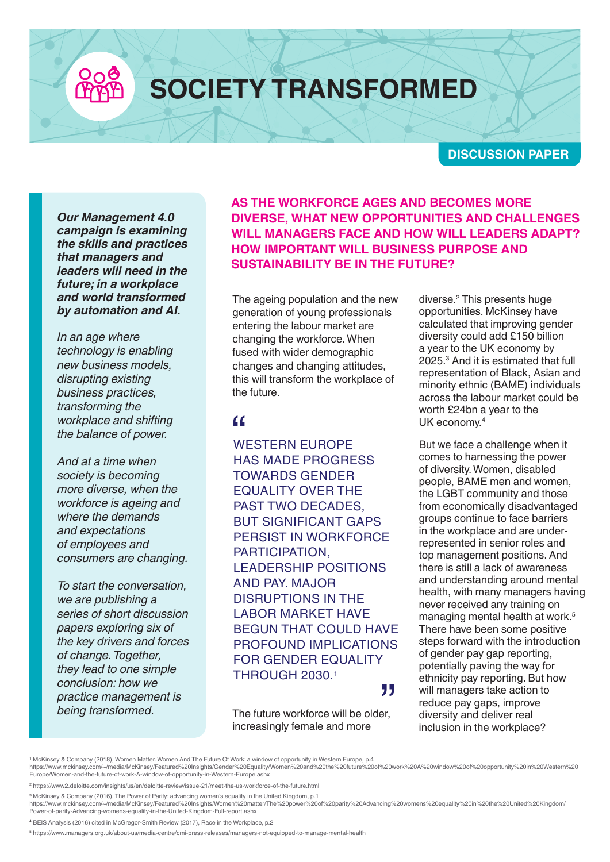**SOCIETY TRANSFORMED**

**DISCUSSION PAPER**

*Our Management 4.0 campaign is examining the skills and practices that managers and leaders will need in the future; in a workplace and world transformed by automation and AI.*

*In an age where technology is enabling new business models, disrupting existing business practices, transforming the workplace and shifting the balance of power.*

*And at a time when society is becoming more diverse, when the workforce is ageing and where the demands and expectations of employees and consumers are changing.*

*To start the conversation, we are publishing a series of short discussion papers exploring six of the key drivers and forces of change. Together, they lead to one simple conclusion: how we practice management is being transformed.*

**AS THE WORKFORCE AGES AND BECOMES MORE DIVERSE, WHAT NEW OPPORTUNITIES AND CHALLENGES WILL MANAGERS FACE AND HOW WILL LEADERS ADAPT? HOW IMPORTANT WILL BUSINESS PURPOSE AND SUSTAINABILITY BE IN THE FUTURE?** 

The ageing population and the new generation of young professionals entering the labour market are changing the workforce. When fused with wider demographic changes and changing attitudes, this will transform the workplace of the future.

**KK<br>WESTERN EUROPE<br>HAS MADE BROGBE** HAS MADE PROGRESS TOWARDS GENDER EQUALITY OVER THE PAST TWO DECADES. BUT SIGNIFICANT GAPS PERSIST IN WORKFORCE PARTICIPATION, LEADERSHIP POSITIONS AND PAY. MAJOR DISRUPTIONS IN THE LABOR MARKET HAVE BEGUN THAT COULD HAVE PROFOUND IMPLICATIONS FOR GENDER EQUALITY THROUGH 2030.1

The future workforce will be older, increasingly female and more נל<br><sub>er,</sub> diverse.2 This presents huge opportunities. McKinsey have calculated that improving gender diversity could add £150 billion a year to the UK economy by 2025.3 And it is estimated that full representation of Black, Asian and minority ethnic (BAME) individuals across the labour market could be worth £24bn a year to the UK economy.4

But we face a challenge when it comes to harnessing the power of diversity. Women, disabled people, BAME men and women, the LGBT community and those from economically disadvantaged groups continue to face barriers in the workplace and are underrepresented in senior roles and top management positions. And there is still a lack of awareness and understanding around mental health, with many managers having never received any training on managing mental health at work.<sup>5</sup> There have been some positive steps forward with the introduction of gender pay gap reporting, potentially paving the way for ethnicity pay reporting. But how will managers take action to reduce pay gaps, improve diversity and deliver real inclusion in the workplace?

' McKinsey & Company (2018), Women Matter. Women And The Future Of Work: a window of opportunity in Western Europe, p.4<br>https://www.mckinsey.com/~/media/McKinsey/Featured%20Insights/Gender%20Equality/Women%20and%20the%20f Europe/Women-and-the-future-of-work-A-window-of-opportunity-in-Western-Europe.ashx

<sup>2</sup> https://www2.deloitte.com/insights/us/en/deloitte-review/issue-21/meet-the-us-workforce-of-the-future.html

<sup>3</sup> McKinsey & Company (2016), The Power of Parity: advancing women's equality in the United Kingdom, p.1

<sup>4</sup> BEIS Analysis (2016) cited in McGregor-Smith Review (2017), Race in the Workplace, p.2

<sup>5</sup> https://www.managers.org.uk/about-us/media-centre/cmi-press-releases/managers-not-equipped-to-manage-mental-health

https://www.mckinsey.com/~/media/McKinsey/Featured%20Insights/Women%20matter/The%20power%20of%20parity%20Advancing%20womens%20equality%20in%20the%20United%20Kingdom/ Power-of-parity-Advancing-womens-equality-in-the-United-Kingdom-Full-report.ashx